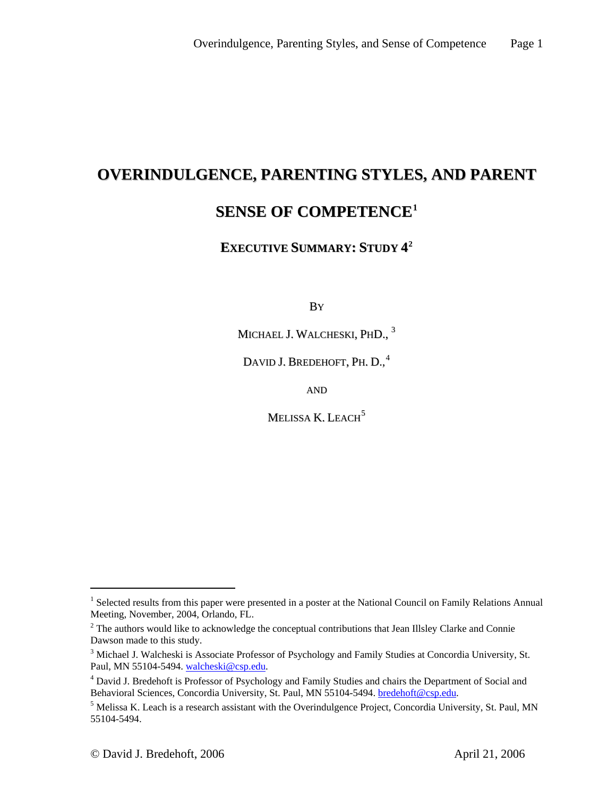# **OVERINDULGENCE, PARENTING STYLES, AND PARENT**

# **SENSE OF COMPETENCE[1](#page-0-0)**

# **EXECUTIVE SUMMARY: STUDY 4[2](#page-0-1)**

**B**Y

MICHAEL J. WALCHESKI, PHD., <sup>[3](#page-0-2)</sup>

DAVID J. BREDEHOFT, PH. D.,<sup>[4](#page-0-3)</sup>

AND

MELISSA K. LEACH $<sup>5</sup>$  $<sup>5</sup>$  $<sup>5</sup>$ </sup>

 $\overline{a}$ 

<span id="page-0-0"></span><sup>&</sup>lt;sup>1</sup> Selected results from this paper were presented in a poster at the National Council on Family Relations Annual Meeting, November, 2004, Orlando, FL.

<span id="page-0-1"></span> $2$  The authors would like to acknowledge the conceptual contributions that Jean Illsley Clarke and Connie Dawson made to this study.

<span id="page-0-2"></span><sup>&</sup>lt;sup>3</sup> Michael J. Walcheski is Associate Professor of Psychology and Family Studies at Concordia University, St. Paul, MN 55104-5494. [walcheski@csp.edu](mailto:walcheski@csp.edu). 4

<span id="page-0-3"></span><sup>&</sup>lt;sup>4</sup> David J. Bredehoft is Professor of Psychology and Family Studies and chairs the Department of Social and Behavioral Sciences, Concordia University, St. Paul, MN 55104-5494. bredehoft@csp.edu.

<span id="page-0-4"></span> $5$  Melissa K. Leach is a research assistant with the Overindulgence Project, Concordia University, St. Paul, MN 55104-5494.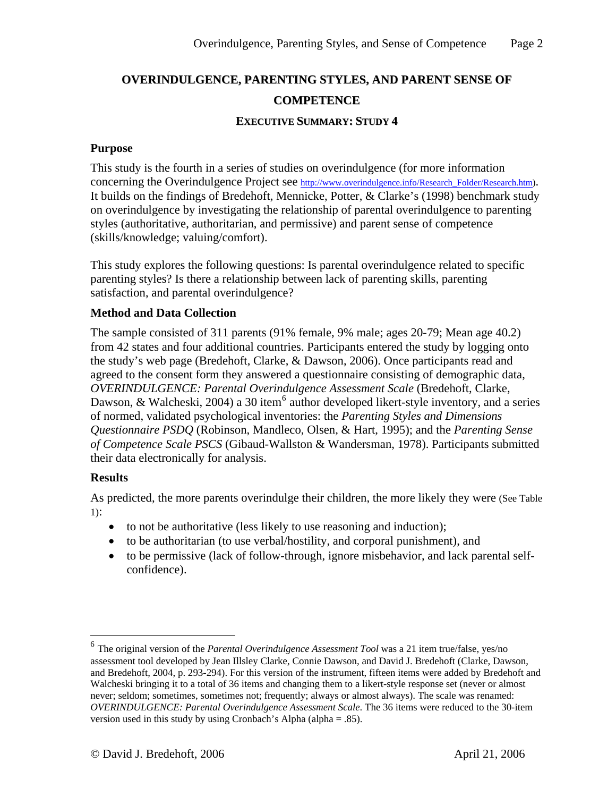# **OVERINDULGENCE, PARENTING STYLES, AND PARENT SENSE OF COMPETENCE**

#### **EXECUTIVE SUMMARY: STUDY 4**

#### **Purpose**

This study is the fourth in a series of studies on overindulgence (for more information concerning the Overindulgence Project see http://www.overindulgence.info/Research Folder/Research.htm). It builds on the findings of Bredehoft, Mennicke, Potter, & Clarke's (1998) benchmark study on overindulgence by investigating the relationship of parental overindulgence to parenting styles (authoritative, authoritarian, and permissive) and parent sense of competence (skills/knowledge; valuing/comfort).

This study explores the following questions: Is parental overindulgence related to specific parenting styles? Is there a relationship between lack of parenting skills, parenting satisfaction, and parental overindulgence?

#### **Method and Data Collection**

The sample consisted of 311 parents (91% female, 9% male; ages 20-79; Mean age 40.2) from 42 states and four additional countries. Participants entered the study by logging onto the study's web page (Bredehoft, Clarke, & Dawson, 2006). Once participants read and agreed to the consent form they answered a questionnaire consisting of demographic data, *OVERINDULGENCE: Parental Overindulgence Assessment Scale* (Bredehoft, Clarke, Dawson, & Walcheski, 2004) a 30 item<sup>[6](#page-1-0)</sup> author developed likert-style inventory, and a series of normed, validated psychological inventories: the *Parenting Styles and Dimensions Questionnaire PSDQ* (Robinson, Mandleco, Olsen, & Hart, 1995); and the *Parenting Sense of Competence Scale PSCS* (Gibaud-Wallston & Wandersman, 1978). Participants submitted their data electronically for analysis.

#### **Results**

 $\overline{a}$ 

As predicted, the more parents overindulge their children, the more likely they were (See Table 1):

- to not be authoritative (less likely to use reasoning and induction);
- to be authoritarian (to use verbal/hostility, and corporal punishment), and
- to be permissive (lack of follow-through, ignore misbehavior, and lack parental selfconfidence).

<span id="page-1-0"></span><sup>6</sup> The original version of the *Parental Overindulgence Assessment Tool* was a 21 item true/false, yes/no assessment tool developed by Jean Illsley Clarke, Connie Dawson, and David J. Bredehoft (Clarke, Dawson, and Bredehoft, 2004, p. 293-294). For this version of the instrument, fifteen items were added by Bredehoft and Walcheski bringing it to a total of 36 items and changing them to a likert-style response set (never or almost never; seldom; sometimes, sometimes not; frequently; always or almost always). The scale was renamed: *OVERINDULGENCE: Parental Overindulgence Assessment Scale*. The 36 items were reduced to the 30-item version used in this study by using Cronbach's Alpha (alpha = .85).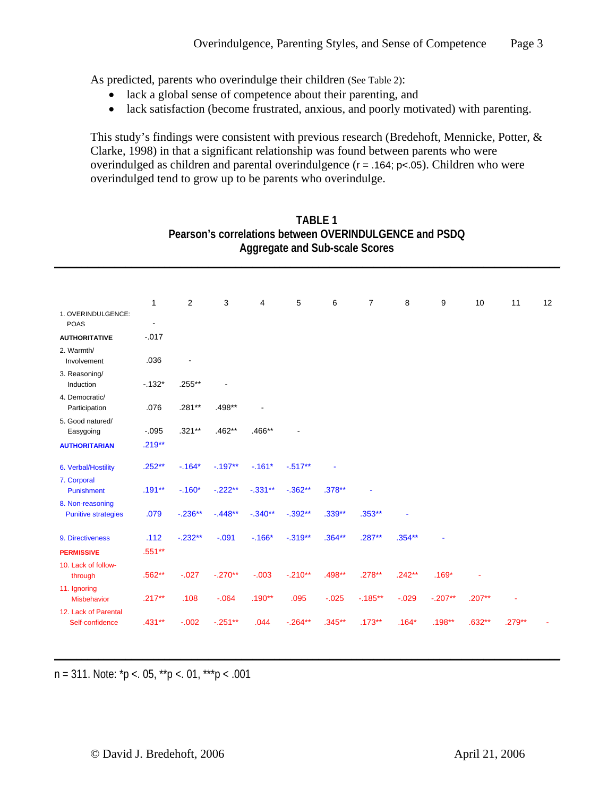As predicted, parents who overindulge their children (See Table 2):

- lack a global sense of competence about their parenting, and
- lack satisfaction (become frustrated, anxious, and poorly motivated) with parenting.

This study's findings were consistent with previous research (Bredehoft, Mennicke, Potter, & Clarke, 1998) in that a significant relationship was found between parents who were overindulged as children and parental overindulgence (r = .164; p<.05). Children who were overindulged tend to grow up to be parents who overindulge.

|                                                | 1                        | $\overline{2}$ | 3         | 4         | 5          | 6         | $\overline{7}$ | 8        | 9         | 10        | 11       | 12 |
|------------------------------------------------|--------------------------|----------------|-----------|-----------|------------|-----------|----------------|----------|-----------|-----------|----------|----|
| 1. OVERINDULGENCE:<br><b>POAS</b>              | $\overline{\phantom{a}}$ |                |           |           |            |           |                |          |           |           |          |    |
| <b>AUTHORITATIVE</b>                           | $-0.017$                 |                |           |           |            |           |                |          |           |           |          |    |
| 2. Warmth/<br>Involvement                      | .036                     |                |           |           |            |           |                |          |           |           |          |    |
| 3. Reasoning/<br>Induction                     | $-132*$                  | .255**         |           |           |            |           |                |          |           |           |          |    |
| 4. Democratic/<br>Participation                | .076                     | .281**         | .498**    |           |            |           |                |          |           |           |          |    |
| 5. Good natured/<br>Easygoing                  | $-.095$                  | $.321**$       | .462**    | .466**    |            |           |                |          |           |           |          |    |
| <b>AUTHORITARIAN</b>                           | $.219**$                 |                |           |           |            |           |                |          |           |           |          |    |
| 6. Verbal/Hostility                            | $.252**$                 | $-0.164*$      | $-.197**$ | $-0.161*$ | $-0.517**$ |           |                |          |           |           |          |    |
| 7. Corporal<br>Punishment                      | $.191**$                 | $-0.160*$      | $-.222**$ | $-.331**$ | $-.362**$  | $.378***$ |                |          |           |           |          |    |
| 8. Non-reasoning<br><b>Punitive strategies</b> | .079                     | $-.236**$      | $-.448**$ | $-.340**$ | $-.392**$  | $.339**$  | $.353**$       |          |           |           |          |    |
| 9. Directiveness                               | .112                     | $-.232**$      | $-.091$   | $-.166*$  | $-.319**$  | $.364**$  | $.287**$       | $.354**$ |           |           |          |    |
| <b>PERMISSIVE</b>                              | .551**                   |                |           |           |            |           |                |          |           |           |          |    |
| 10. Lack of follow-<br>through                 | .562**                   | $-0.027$       | $-.270**$ | $-.003$   | $-.210**$  | .498**    | $.278***$      | $.242**$ | $.169*$   |           |          |    |
| 11. Ignoring<br>Misbehavior                    | $.217**$                 | .108           | $-0.064$  | $.190**$  | .095       | $-0.025$  | $-0.185**$     | $-0.029$ | $-.207**$ | $.207***$ |          |    |
| 12. Lack of Parental<br>Self-confidence        | $.431**$                 | $-.002$        | $-.251**$ | .044      | $-.264**$  | $.345***$ | $.173***$      | $.164*$  | $.198**$  | $.632**$  | $.279**$ |    |

**\_\_\_\_\_\_\_\_\_\_\_\_\_\_\_\_\_\_\_\_\_\_\_\_\_\_\_\_\_\_\_\_\_\_\_\_\_\_\_\_\_\_\_\_\_\_\_\_\_\_\_\_\_\_\_\_\_\_\_\_\_\_\_\_\_\_\_\_\_\_\_\_\_\_\_\_\_\_\_\_\_\_\_\_\_\_\_\_\_\_\_\_**

### **TABLE 1 Pearson's correlations between OVERINDULGENCE and PSDQ Aggregate and Sub-scale Scores**

**\_\_\_\_\_\_\_\_\_\_\_\_\_\_\_\_\_\_\_\_\_\_\_\_\_\_\_\_\_\_\_\_\_\_\_\_\_\_\_\_\_\_\_\_\_\_\_\_\_\_\_\_\_\_\_\_\_\_\_\_\_\_\_\_\_\_\_\_\_\_\_\_\_\_\_\_\_\_\_\_\_\_\_\_\_\_\_\_\_\_\_\_**

 $n = 311$ . Note:  $p < 05$ ,  $p > 01$ ,  $p > 001$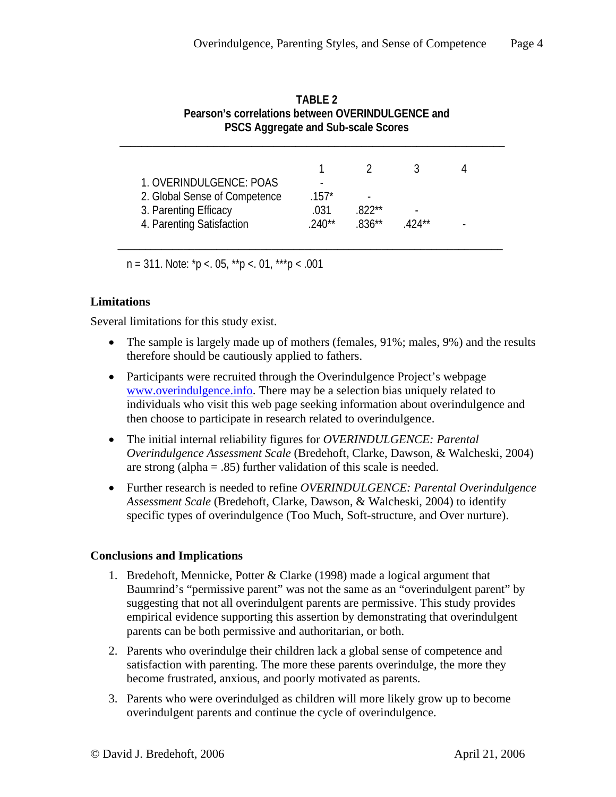| 1. OVERINDULGENCE: POAS       | -        |          |         |  |
|-------------------------------|----------|----------|---------|--|
| 2. Global Sense of Competence | $.157*$  | -        |         |  |
| 3. Parenting Efficacy         | .031     | $822**$  |         |  |
| 4. Parenting Satisfaction     | $.240**$ | $.836**$ | $424**$ |  |

**TABLE 2 Pearson's correlations between OVERINDULGENCE and PSCS Aggregate and Sub-scale Scores** 

 $n = 311$ . Note:  $p < 0.05$ ,  $p > 0.01$ ,  $p > 0.001$ 

# **Limitations**

Several limitations for this study exist.

- The sample is largely made up of mothers (females, 91%; males, 9%) and the results therefore should be cautiously applied to fathers.
- Participants were recruited through the Overindulgence Project's webpage [www.overindulgence.info](http://www.overindulgence.info/). There may be a selection bias uniquely related to individuals who visit this web page seeking information about overindulgence and then choose to participate in research related to overindulgence.
- The initial internal reliability figures for *OVERINDULGENCE: Parental Overindulgence Assessment Scale* (Bredehoft, Clarke, Dawson, & Walcheski, 2004) are strong (alpha  $= .85$ ) further validation of this scale is needed.
- Further research is needed to refine *OVERINDULGENCE: Parental Overindulgence Assessment Scale* (Bredehoft, Clarke, Dawson, & Walcheski, 2004) to identify specific types of overindulgence (Too Much, Soft-structure, and Over nurture).

# **Conclusions and Implications**

- 1. Bredehoft, Mennicke, Potter & Clarke (1998) made a logical argument that Baumrind's "permissive parent" was not the same as an "overindulgent parent" by suggesting that not all overindulgent parents are permissive. This study provides empirical evidence supporting this assertion by demonstrating that overindulgent parents can be both permissive and authoritarian, or both.
- 2. Parents who overindulge their children lack a global sense of competence and satisfaction with parenting. The more these parents overindulge, the more they become frustrated, anxious, and poorly motivated as parents.
- 3. Parents who were overindulged as children will more likely grow up to become overindulgent parents and continue the cycle of overindulgence.